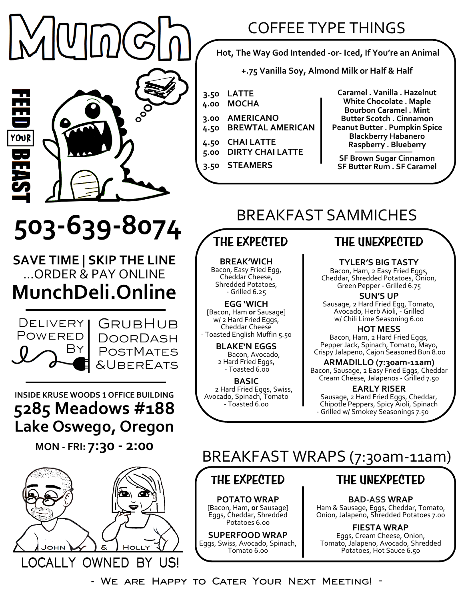## COFFEE TYPE THINGS

**Hot, The Way God Intended -or- Iced, If You're an Animal**

**+.75 Vanilla Soy, Almond Milk or Half & Half**

- **3.50 LATTE**
- **4.00 MOCHA**
- **3.00 4.50 AMERICANO BREWTAL AMERICAN**
	-
- **4.50 5.00 CHAI LATTE DIRTY CHAI LATTE**
- **3.50 STEAMERS**

**Caramel . Vanilla . Hazelnut White Chocolate . Maple Bourbon Caramel . Mint Butter Scotch . Cinnamon Peanut Butter . Pumpkin Spice Blackberry Habanero Raspberry . Blueberry**

**SF Brown Sugar Cinnamon SF Butter Rum . SF Caramel**

# BREAKFAST SAMMICHES

# **THE EXPECTED**

**BREAK'WICH** Bacon, Easy Fried Egg, Cheddar Cheese, Shredded Potatoes, - Grilled 6.25

**EGG 'WICH**  [Bacon, Ham **or** Sausage] w/ 2 Hard Fried Eggs, Cheddar Cheese - Toasted English Muffin 5.50

> **BLAKE'N EGGS** Bacon, Avocado, 2 Hard Fried Eggs, - Toasted 6.00

**BASIC** 2 Hard Fried Eggs, Swiss, Avocado, Spinach, Tomato - Toasted 6.00

#### **THE UNEXPECTED**

**TYLER'S BIG TASTY**

Bacon, Ham, 2 Easy Fried Eggs, Cheddar, Shredded Potatoes, Onion, Green Pepper - Grilled 6.75

**SUN'S UP** Sausage, 2 Hard Fried Egg, Tomato, Avocado, Herb Aioli, - Grilled w/ Chili Lime Seasoning 6.00

**HOT MESS** Bacon, Ham, 2 Hard Fried Eggs, Pepper Jack, Spinach, Tomato, Mayo, Crispy Jalapeno, Cajon Seasoned Bun 8.00

**ARMADILLO (7:30am-11am)** Bacon, Sausage, 2 Easy Fried Eggs, Cheddar Cream Cheese, Jalapenos - Grilled 7.50

**EARLY RISER**  Sausage, 2 Hard Fried Eggs, Cheddar, Chipotle Peppers, Spicy Aioli, Spinach - Grilled w/ Smokey Seasonings 7.50

# **503-639-8074**

**SAVE TIME | SKIP THE LINE** …ORDER & PAY ONLINE **MunchDeli.Online**



m.  $\overline{\phantom{a}}$ 

YOUR

GRUBHUB **DOORDASH POSTMATES** &UberEats

**INSIDE KRUSE WOODS <sup>1</sup> OFFICE BUILDING 5285 Meadows #188 Lake Oswego, Oregon**

**MON - FRI: 7:30 - 2:00**



## BREAKFAST WRAPS (7:30am-11am)

## **THE EXPECTED**

**POTATO WRAP** [Bacon, Ham, **or** Sausage] Eggs, Cheddar, Shredded Potatoes 6.00

**SUPERFOOD WRAP** Eggs, Swiss, Avocado, Spinach, Tomato 6.00

### **THE UNEXPECTED**

**BAD-ASS WRAP**

Ham & Sausage, Eggs, Cheddar, Tomato, Onion, Jalapeno, Shredded Potatoes 7.00

**FIESTA WRAP**  Eggs, Cream Cheese, Onion, Tomato, Jalapeno, Avocado, Shredded Potatoes, Hot Sauce 6.50

**- We are Happy to Cater Your Next Meeting! -**